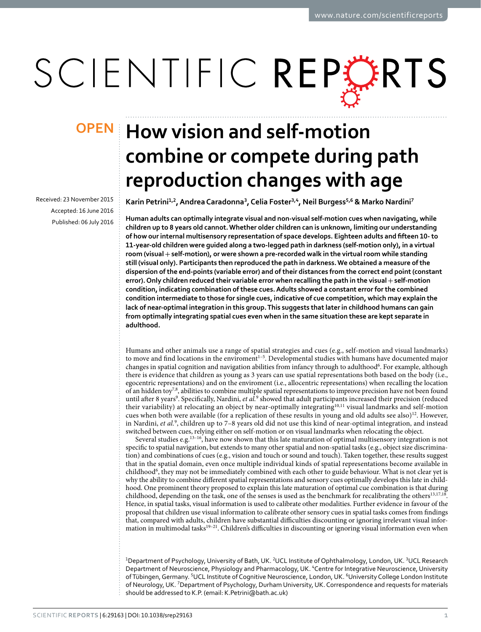# SCIENTIFIC REPERTS

Received: 23 November 2015 accepted: 16 June 2016 Published: 06 July 2016

## **OPEN** How vision and self-motion **combine or compete during path reproduction changes with age**

Karin Petrini<sup>1,2</sup>, Andrea Caradonna<sup>3</sup>, Celia Foster<sup>3,4</sup>, Neil Burgess<sup>5,6</sup> & Marko Nardini<sup>7</sup>

**Human adults can optimally integrate visual and non-visual self-motion cues when navigating, while children up to 8 years old cannot. Whether older children can is unknown, limiting our understanding of how our internal multisensory representation of space develops. Eighteen adults and fifteen 10- to 11-year-old children were guided along a two-legged path in darkness (self-motion only), in a virtual room (visual+self-motion), or were shown a pre-recorded walk in the virtual room while standing still (visual only). Participants then reproduced the path in darkness. We obtained a measure of the dispersion of the end-points (variable error) and of their distances from the correct end point (constant error). Only children reduced their variable error when recalling the path in the visual+self-motion condition, indicating combination of these cues. Adults showed a constant error for the combined condition intermediate to those for single cues, indicative of cue competition, which may explain the lack of near-optimal integration in this group. This suggests that later in childhood humans can gain from optimally integrating spatial cues even when in the same situation these are kept separate in adulthood.**

Humans and other animals use a range of spatial strategies and cues (e.g., self-motion and visual landmarks) to move and find locations in the enviroment<sup>1-5</sup>. Developmental studies with humans have documented major changes in spatial cognition and navigation abilities from infancy through to adulthood<sup>[6](#page-8-1)</sup>. For example, although there is evidence that children as young as 3 years can use spatial representations both based on the body (i.e., egocentric representations) and on the enviroment (i.e., allocentric representations) when recalling the location of an hidden toy<sup>7[,8](#page-8-3)</sup>, abilities to combine multiple spatial representations to improve precision have not been found until after 8 years<sup>[9](#page-8-4)</sup>. Specifically, Nardini, et al.<sup>9</sup> showed that adult participants increased their precision (reduced their variability) at relocating an object by near-optimally integrating[10,](#page-8-5)[11](#page-8-6) visual landmarks and self-motion cues when both were available (for a replication of these results in young and old adults see also)<sup>12</sup>. However, in Nardini, *et al.<sup>[9](#page-8-4)</sup>*, children up to 7–8 years old did not use this kind of near-optimal integration, and instead switched between cues, relying either on self-motion or on visual landmarks when relocating the object.

Several studies e.g.[13](#page-8-8)[–16](#page-8-9), have now shown that this late maturation of optimal multisensory integration is not specific to spatial navigation, but extends to many other spatial and non-spatial tasks (e.g., object size discrimination) and combinations of cues (e.g., vision and touch or sound and touch). Taken together, these results suggest that in the spatial domain, even once multiple individual kinds of spatial representations become available in childhood<sup>[6](#page-8-1)</sup>, they may not be immediately combined with each other to guide behaviour. What is not clear yet is why the ability to combine different spatial representations and sensory cues optimally develops this late in childhood. One prominent theory proposed to explain this late maturation of optimal cue combination is that during childhood, depending on the task, one of the senses is used as the benchmark for recalibrating the others<sup>[13,](#page-8-8)[17,](#page-8-10)18</sup>. Hence, in spatial tasks, visual information is used to calibrate other modalities. Further evidence in favour of the proposal that children use visual information to calibrate other sensory cues in spatial tasks comes from findings that, compared with adults, children have substantial difficulties discounting or ignoring irrelevant visual information in multimodal tasks $19-21$ . Children's difficulties in discounting or ignoring visual information even when

<sup>1</sup>Department of Psychology, University of Bath, UK. <sup>2</sup>UCL Institute of Ophthalmology, London, UK. <sup>3</sup>UCL Research Department of Neuroscience, Physiology and Pharmacology, UK. <sup>4</sup> Centre for Integrative Neuroscience, University of Tübingen, Germany. <sup>5</sup>UCL Institute of Cognitive Neuroscience, London, UK. <sup>6</sup>University College London Institute of Neurology, UK. <sup>7</sup>Department of Psychology, Durham University, UK. Correspondence and requests for materials should be addressed to K.P. (email: [K.Petrini@bath.ac.uk\)](mailto:K.Petrini@bath.ac.uk)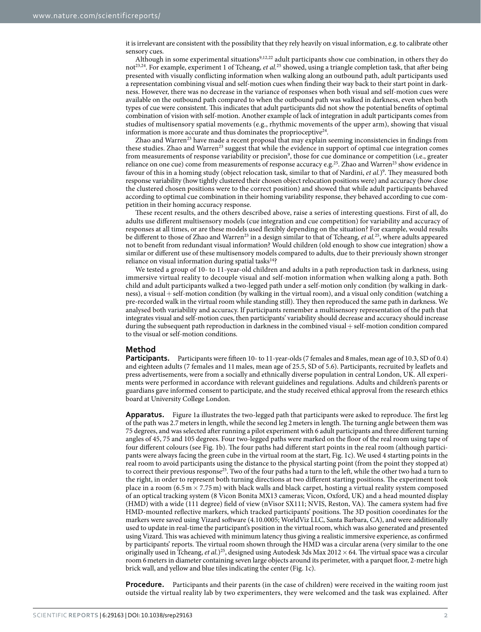it is irrelevant are consistent with the possibility that they rely heavily on visual information, e.g. to calibrate other sensory cues.

Although in some experimental situations[9](#page-8-4)[,12](#page-8-7)[,22](#page-9-0) adult participants show cue combination, in others they do not[23](#page-9-1),[24](#page-9-2). For example, experiment 1 of Tcheang, *et al.*[25](#page-9-3) showed, using a triangle completion task, that after being presented with visually conflicting information when walking along an outbound path, adult participants used a representation combining visual and self-motion cues when finding their way back to their start point in darkness. However, there was no decrease in the variance of responses when both visual and self-motion cues were available on the outbound path compared to when the outbound path was walked in darkness, even when both types of cue were consistent. This indicates that adult participants did not show the potential benefits of optimal combination of vision with self-motion. Another example of lack of integration in adult participants comes from studies of multisensory spatial movements (e.g., rhythmic movements of the upper arm), showing that visual information is more accurate and thus dominates the proprioceptive $24$ .

Zhao and Warren<sup>[23](#page-9-1)</sup> have made a recent proposal that may explain seeming inconsistencies in findings from these studies. Zhao and Warren<sup>23</sup> suggest that while the evidence in support of optimal cue integration comes from measurements of response variability or precision<sup>9</sup>, those for cue dominance or competition (i.e., greater reliance on one cue) come from measurements of response accuracy e.g.<sup>25</sup>. Zhao and Warren<sup>[23](#page-9-1)</sup> show evidence in favour of this in a homing study (object relocation task, similar to that of Nardini, *et al.*)[9](#page-8-4) . They measured both response variability (how tightly clustered their chosen object relocation positions were) and accuracy (how close the clustered chosen positions were to the correct position) and showed that while adult participants behaved according to optimal cue combination in their homing variability response, they behaved according to cue competition in their homing accuracy response.

These recent results, and the others described above, raise a series of interesting questions. First of all, do adults use different multisensory models (cue integration and cue competition) for variability and accuracy of responses at all times, or are these models used flexibly depending on the situation? For example, would results be different to those of Zhao and Warre[n23](#page-9-1) in a design similar to that of Tcheang, *et al.*[25,](#page-9-3) where adults appeared not to benefit from redundant visual information? Would children (old enough to show cue integration) show a similar or different use of these multisensory models compared to adults, due to their previously shown stronger reliance on visual information during spatial tasks $14$ ?

We tested a group of 10- to 11-year-old children and adults in a path reproduction task in darkness, using immersive virtual reality to decouple visual and self-motion information when walking along a path. Both child and adult participants walked a two-legged path under a self-motion only condition (by walking in darkness), a visual+self-motion condition (by walking in the virtual room), and a visual only condition (watching a pre-recorded walk in the virtual room while standing still). They then reproduced the same path in darkness. We analysed both variability and accuracy. If participants remember a multisensory representation of the path that integrates visual and self-motion cues, then participants' variability should decrease and accuracy should increase during the subsequent path reproduction in darkness in the combined visual + self-motion condition compared to the visual or self-motion conditions.

#### **Method**

**Participants.** Participants were fifteen 10- to 11-year-olds (7 females and 8 males, mean age of 10.3, SD of 0.4) and eighteen adults (7 females and 11males, mean age of 25.5, SD of 5.6). Participants, recruited by leaflets and press advertisements, were from a socially and ethnically diverse population in central London, UK. All experiments were performed in accordance with relevant guidelines and regulations. Adults and children's parents or guardians gave informed consent to participate, and the study received ethical approval from the research ethics board at University College London.

**Apparatus.** [Figure 1a](#page-2-0) illustrates the two-legged path that participants were asked to reproduce. The first leg of the path was 2.7meters in length, while the second leg 2meters in length. The turning angle between them was 75 degrees, and was selected after running a pilot experiment with 6 adult participants and three different turning angles of 45, 75 and 105 degrees. Four two-legged paths were marked on the floor of the real room using tape of four different colours (see [Fig. 1b\)](#page-2-0). The four paths had different start points in the real room (although participants were always facing the green cube in the virtual room at the start, [Fig. 1c\)](#page-2-0). We used 4 starting points in the real room to avoid participants using the distance to the physical starting point (from the point they stopped at) to correct their previous response<sup>25</sup>. Two of the four paths had a turn to the left, while the other two had a turn to the right, in order to represent both turning directions at two different starting positions. The experiment took place in a room  $(6.5 \text{ m} \times 7.75 \text{ m})$  with black walls and black carpet, hosting a virtual reality system composed of an optical tracking system (8 Vicon Bonita MX13 cameras; Vicon, Oxford, UK) and a head mounted display (HMD) with a wide (111 degree) field of view (nVisor SX111; NVIS, Reston, VA). The camera system had five HMD-mounted reflective markers, which tracked participants' positions. The 3D position coordinates for the markers were saved using Vizard software (4.10.0005; WorldViz LLC, Santa Barbara, CA), and were additionally used to update in real-time the participant's position in the virtual room, which was also generated and presented using Vizard. This was achieved with minimum latency thus giving a realistic immersive experience, as confirmed by participants' reports. The virtual room shown through the HMD was a circular arena (very similar to the one originally used in Tcheang, *et al.*)<sup>25</sup>, designed using Autodesk 3ds Max 2012  $\times$  64. The virtual space was a circular room 6meters in diameter containing seven large objects around its perimeter, with a parquet floor, 2-metre high brick wall, and yellow and blue tiles indicating the center [\(Fig. 1c\)](#page-2-0).

**Procedure.** Participants and their parents (in the case of children) were received in the waiting room just outside the virtual reality lab by two experimenters, they were welcomed and the task was explained. After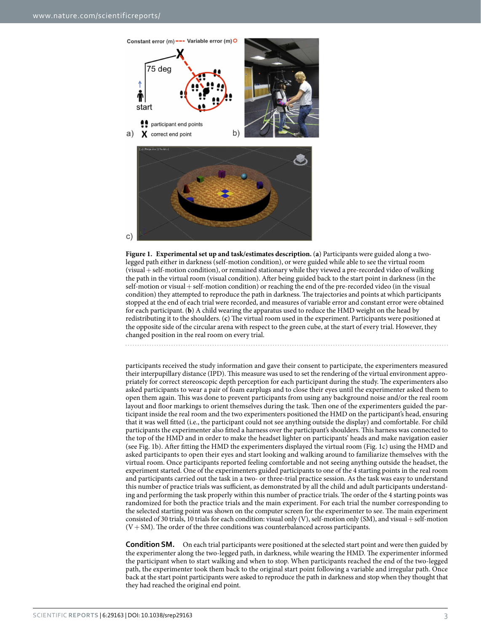

<span id="page-2-0"></span>

participants received the study information and gave their consent to participate, the experimenters measured their interpupillary distance (IPD). This measure was used to set the rendering of the virtual environment appropriately for correct stereoscopic depth perception for each participant during the study. The experimenters also asked participants to wear a pair of foam earplugs and to close their eyes until the experimenter asked them to open them again. This was done to prevent participants from using any background noise and/or the real room layout and floor markings to orient themselves during the task. Then one of the experimenters guided the participant inside the real room and the two experimenters positioned the HMD on the participant's head, ensuring that it was well fitted (i.e., the participant could not see anything outside the display) and comfortable. For child participants the experimenter also fitted a harness over the participant's shoulders. This harness was connected to the top of the HMD and in order to make the headset lighter on participants' heads and make navigation easier (see [Fig. 1b](#page-2-0)). After fitting the HMD the experimenters displayed the virtual room [\(Fig. 1c](#page-2-0)) using the HMD and asked participants to open their eyes and start looking and walking around to familiarize themselves with the virtual room. Once participants reported feeling comfortable and not seeing anything outside the headset, the experiment started. One of the experimenters guided participants to one of the 4 starting points in the real room and participants carried out the task in a two- or three-trial practice session. As the task was easy to understand this number of practice trials was sufficient, as demonstrated by all the child and adult participants understanding and performing the task properly within this number of practice trials. The order of the 4 starting points was randomized for both the practice trials and the main experiment. For each trial the number corresponding to the selected starting point was shown on the computer screen for the experimenter to see. The main experiment consisted of 30 trials, 10 trials for each condition: visual only (V), self-motion only (SM), and visual+ self-motion  $(V+SM)$ . The order of the three conditions was counterbalanced across participants.

**Condition SM.** On each trial participants were positioned at the selected start point and were then guided by the experimenter along the two-legged path, in darkness, while wearing the HMD. The experimenter informed the participant when to start walking and when to stop. When participants reached the end of the two-legged path, the experimenter took them back to the original start point following a variable and irregular path. Once back at the start point participants were asked to reproduce the path in darkness and stop when they thought that they had reached the original end point.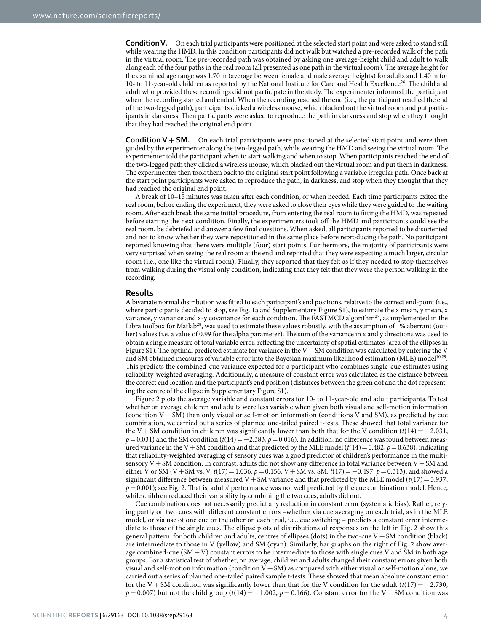**Condition V.** On each trial participants were positioned at the selected start point and were asked to stand still while wearing the HMD. In this condition participants did not walk but watched a pre-recorded walk of the path in the virtual room. The pre-recorded path was obtained by asking one average-height child and adult to walk along each of the four paths in the real room (all presented as one path in the virtual room). The average height for the examined age range was 1.70m (average between female and male average heights) for adults and 1.40m for 10- to 11-year-old children as reported by the National Institute for Care and Health Excellence<sup>26</sup>. The child and adult who provided these recordings did not participate in the study. The experimenter informed the participant when the recording started and ended. When the recording reached the end (i.e., the participant reached the end of the two-legged path), participants clicked a wireless mouse, which blacked out the virtual room and put participants in darkness. Then participants were asked to reproduce the path in darkness and stop when they thought that they had reached the original end point.

**Condition V+SM.** On each trial participants were positioned at the selected start point and were then guided by the experimenter along the two-legged path, while wearing the HMD and seeing the virtual room. The experimenter told the participant when to start walking and when to stop. When participants reached the end of the two-legged path they clicked a wireless mouse, which blacked out the virtual room and put them in darkness. The experimenter then took them back to the original start point following a variable irregular path. Once back at the start point participants were asked to reproduce the path, in darkness, and stop when they thought that they had reached the original end point.

A break of 10–15minutes was taken after each condition, or when needed. Each time participants exited the real room, before ending the experiment, they were asked to close their eyes while they were guided to the waiting room. After each break the same initial procedure, from entering the real room to fitting the HMD, was repeated before starting the next condition. Finally, the experimenters took off the HMD and participants could see the real room, be debriefed and answer a few final questions. When asked, all participants reported to be disoriented and not to know whether they were repositioned in the same place before reproducing the path. No participant reported knowing that there were multiple (four) start points. Furthermore, the majority of participants were very surprised when seeing the real room at the end and reported that they were expecting a much larger, circular room (i.e., one like the virtual room). Finally, they reported that they felt as if they needed to stop themselves from walking during the visual only condition, indicating that they felt that they were the person walking in the recording.

#### **Results**

A bivariate normal distribution was fitted to each participant's end positions, relative to the correct end-point (i.e., where participants decided to stop, see [Fig. 1a](#page-2-0) and Supplementary Figure S1), to estimate the x mean, y mean, x variance, y variance and x-y covariance for each condition. The FASTMCD algorithm<sup>27</sup>, as implemented in the Libra toolbox for Matlab<sup>[28](#page-9-6)</sup>, was used to estimate these values robustly, with the assumption of  $1\%$  aberrant (outlier) values (i.e. a value of 0.99 for the alpha parameter). The sum of the variance in x and y directions was used to obtain a single measure of total variable error, reflecting the uncertainty of spatial estimates (area of the ellipses in Figure S1). The optimal predicted estimate for variance in the V + SM condition was calculated by entering the V and SM obtained measures of variable error into the Bayesian maximum likelihood estimation (MLE) model<sup>[10,](#page-8-5)29</sup>. This predicts the combined-cue variance expected for a participant who combines single-cue estimates using reliability-weighted averaging. Additionally, a measure of constant error was calculated as the distance between the correct end location and the participant's end position (distances between the green dot and the dot representing the centre of the ellipse in Supplementary Figure S1).

[Figure 2](#page-4-0) plots the average variable and constant errors for 10- to 11-year-old and adult participants. To test whether on average children and adults were less variable when given both visual and self-motion information (condition  $V + SM$ ) than only visual or self-motion information (conditions V and SM), as predicted by cue combination, we carried out a series of planned one-tailed paired t-tests. These showed that total variance for the V + SM condition in children was significantly lower than both that for the V condition  $(t(14) = -2.031$ , *p* = 0.031) and the SM condition (*t*(14) = −2.383, *p* = 0.016). In addition, no difference was found between measured variance in the V + SM condition and that predicted by the MLE model ( $t(14)=0.482$ ,  $p=0.638$ ), indicating that reliability-weighted averaging of sensory cues was a good predictor of children's performance in the multisensory V + SM condition. In contrast, adults did not show any difference in total variance between V + SM and either V or SM (V+SM vs. V: *t*(17)=1.036, *p*=0.156; V+SM vs. SM: *t*(17)=−0.497, *p*=0.313), and showed a significant difference between measured V + SM variance and that predicted by the MLE model  $(t(17) = 3.937$ ,  $p = 0.001$ ); see [Fig. 2.](#page-4-0) That is, adults' performance was not well predicted by the cue combination model. Hence, while children reduced their variability by combining the two cues, adults did not.

Cue combination does not necessarily predict any reduction in constant error (systematic bias). Rather, relying partly on two cues with different constant errors –whether via cue averaging on each trial, as in the MLE model, or via use of one cue or the other on each trial, i.e., cue switching – predicts a constant error intermediate to those of the single cues. The ellipse plots of distributions of responses on the left in [Fig. 2](#page-4-0) show this general pattern: for both children and adults, centres of ellipses (dots) in the two-cue  $V+SM$  condition (black) are intermediate to those in V (yellow) and SM (cyan). Similarly, bar graphs on the right of [Fig. 2](#page-4-0) show average combined-cue  $(SM + V)$  constant errors to be intermediate to those with single cues V and SM in both age groups. For a statistical test of whether, on average, children and adults changed their constant errors given both visual and self-motion information (condition  $V+SM$ ) as compared with either visual or self-motion alone, we carried out a series of planned one-tailed paired sample t-tests. These showed that mean absolute constant error for the V+ SM condition was significantly lower than that for the V condition for the adult  $(t(17) = -2.730$ , *p* = 0.007) but not the child group (*t*(14) = −1.002, *p* = 0.166). Constant error for the V + SM condition was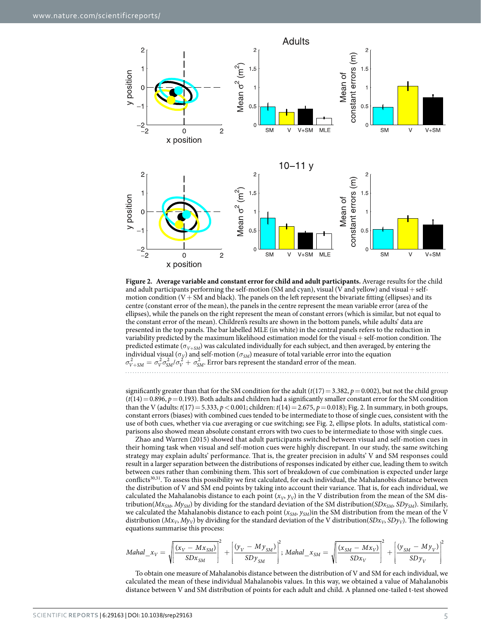

<span id="page-4-0"></span>

significantly greater than that for the SM condition for the adult  $(t(17) = 3.382, p = 0.002)$ , but not the child group  $(t(14)=0.896, p=0.193)$ . Both adults and children had a significantly smaller constant error for the SM condition than the V (adults:  $t(17) = 5.333$ ,  $p < 0.001$ ; children:  $t(14) = 2.675$ ,  $p = 0.018$ ); [Fig. 2](#page-4-0). In summary, in both groups, constant errors (biases) with combined cues tended to be intermediate to those of single cues, consistent with the use of both cues, whether via cue averaging or cue switching; see [Fig. 2](#page-4-0), ellipse plots. In adults, statistical com-

parisons also showed mean absolute constant errors with two cues to be intermediate to those with single cues. Zhao and Warren (2015) showed that adult participants switched between visual and self-motion cues in their homing task when visual and self-motion cues were highly discrepant. In our study, the same switching strategy may explain adults' performance. That is, the greater precision in adults' V and SM responses could result in a larger separation between the distributions of responses indicated by either cue, leading them to switch between cues rather than combining them. This sort of breakdown of cue combination is expected under large conflicts $30,31$ . To assess this possibility we first calculated, for each individual, the Mahalanobis distance between the distribution of V and SM end points by taking into account their variance. That is, for each individual, we calculated the Mahalanobis distance to each point  $(x_V, y_V)$  in the V distribution from the mean of the SM distribution(*MxSM*, *MySM*) by dividing for the standard deviation of the SM distribution(*SDxSM*, *SDySM*). Similarly, we calculated the Mahalanobis distance to each point  $(x_{SM}, y_{SM})$  in the SM distribution from the mean of the V distribution ( $Mx_V$ ,  $My_V$ ) by dividing for the standard deviation of the V distribution( $SDx_V$ ,  $SDy_V$ ). The following equations summarise this process:

$$
Mahal\_x_V = \sqrt{\left[\frac{(x_V - Mx_{SM})}{SDx_{SM}}\right]^2 + \left[\frac{(y_V - My_{SM})}{SDy_{SM}}\right]^2}; \quad Mahal\_x_{SM} = \sqrt{\left[\frac{(x_{SM} - Mx_V)}{SDx_V}\right]^2 + \left[\frac{(y_{SM} - My_V)}{SDy_V}\right]^2}
$$

To obtain one measure of Mahalanobis distance between the distribution of V and SM for each individual, we calculated the mean of these individual Mahalanobis values. In this way, we obtained a value of Mahalanobis distance between V and SM distribution of points for each adult and child. A planned one-tailed t-test showed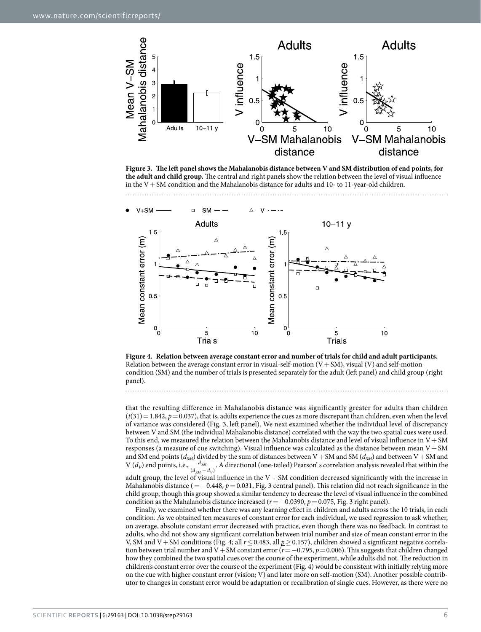

<span id="page-5-0"></span>**Figure 3. The left panel shows the Mahalanobis distance between V and SM distribution of end points, for the adult and child group.** The central and right panels show the relation between the level of visual influence in the  $V+SM$  condition and the Mahalanobis distance for adults and 10- to 11-year-old children.





<span id="page-5-1"></span>**Figure 4. Relation between average constant error and number of trials for child and adult participants.**  Relation between the average constant error in visual-self-motion  $(V+SM)$ , visual  $(V)$  and self-motion condition (SM) and the number of trials is presented separately for the adult (left panel) and child group (right panel).

that the resulting difference in Mahalanobis distance was significantly greater for adults than children  $(t(31)=1.842, p=0.037)$ , that is, adults experience the cues as more discrepant than children, even when the level of variance was considered ([Fig. 3](#page-5-0), left panel). We next examined whether the individual level of discrepancy between V and SM (the individual Mahalanobis distance) correlated with the way the two spatial cues were used. To this end, we measured the relation between the Mahalanobis distance and level of visual influence in  $V+SM$ responses (a measure of cue switching). Visual influence was calculated as the distance between mean  $V+SM$ and SM end points ( $d_{SM}$ ) divided by the sum of distances between V + SM and SM ( $d_{SM}$ ) and between V + SM and V ( $d_V$ ) end points, i.e.,  $\frac{d_{SM}}{(d_{SM} + )}$  $\frac{u_{SM}}{(d_{SM}+d_V)}$  $\frac{a_{SM}}{SM+d_V}$ . A directional (one-tailed) Pearson' s correlation analysis revealed that within the

adult group, the level of visual influence in the  $V+SM$  condition decreased significantly with the increase in Mahalanobis distance (= −0.448, *p* = 0.031, [Fig. 3](#page-5-0) central panel). This relation did not reach significance in the child group, though this group showed a similar tendency to decrease the level of visual influence in the combined condition as the Mahalanobis distance increased (*r*=−0.0390, *p*=0.075, [Fig. 3](#page-5-0) right panel).

Finally, we examined whether there was any learning effect in children and adults across the 10 trials, in each condition. As we obtained ten measures of constant error for each individual, we used regression to ask whether, on average, absolute constant error decreased with practice, even though there was no feedback. In contrast to adults, who did not show any significant correlation between trial number and size of mean constant error in the V, SM and V+SM conditions [\(Fig. 4](#page-5-1); all *r*≤0.483, all *p*≥0.157), children showed a significant negative correlation between trial number and V+ SM constant error (*r*= −0.795, *p*= 0.006). This suggests that children changed how they combined the two spatial cues over the course of the experiment, while adults did not. The reduction in children's constant error over the course of the experiment [\(Fig. 4\)](#page-5-1) would be consistent with initially relying more on the cue with higher constant error (vision; V) and later more on self-motion (SM). Another possible contributor to changes in constant error would be adaptation or recalibration of single cues. However, as there were no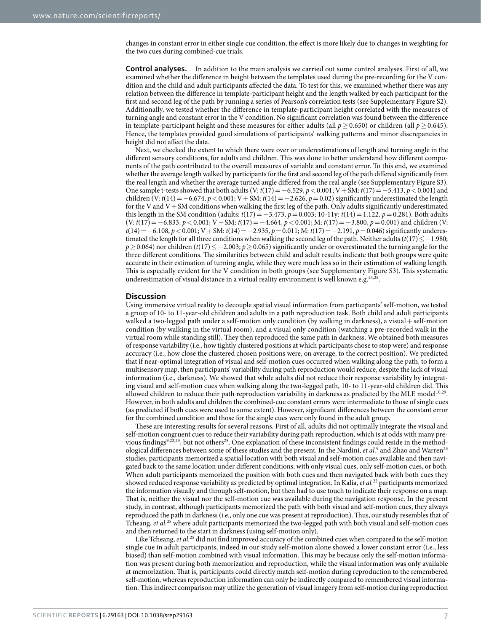changes in constant error in either single cue condition, the effect is more likely due to changes in weighting for the two cues during combined-cue trials.

**Control analyses.** In addition to the main analysis we carried out some control analyses. First of all, we examined whether the difference in height between the templates used during the pre-recording for the V condition and the child and adult participants affected the data. To test for this, we examined whether there was any relation between the difference in template-participant height and the length walked by each participant for the first and second leg of the path by running a series of Pearson's correlation tests (see Supplementary Figure S2). Additionally, we tested whether the difference in template-participant height correlated with the measures of turning angle and constant error in the V condition. No significant correlation was found between the difference in template-participant height and these measures for either adults (all  $p \ge 0.650$ ) or children (all  $p \ge 0.645$ ). Hence, the templates provided good simulations of participants' walking patterns and minor discrepancies in height did not affect the data.

Next, we checked the extent to which there were over or underestimations of length and turning angle in the different sensory conditions, for adults and children. This was done to better understand how different components of the path contributed to the overall measures of variable and constant error. To this end, we examined whether the average length walked by participants for the first and second leg of the path differed significantly from the real length and whether the average turned angle differed from the real angle (see Supplementary Figure S3). One sample t-tests showed that both adults (V: *t*(17)=−6.529, *p*<0.001; V+SM: *t*(17)=−5.413, *p*<0.001) and children (V: *t*(14)=−6.674, *p*<0.001; V+SM: *t*(14)=−2.626, *p*=0.02) significantly underestimated the length for the V and  $V+SM$  conditions when walking the first leg of the path. Only adults significantly underestimated this length in the SM condition (adults: *t*(17)= −3.473, *p*= 0.003; 10-11y: *t*(14)= 1.122, *p*= 0.281). Both adults (V: *t*(17)=−6.833, *p*<0.001; V+SM: *t*(17)=−4.664, *p*<0.001; M: *t*(17)=−3.800, *p*=0.001) and children (V: *t*(14) = −6.108, *p* < 0.001; V + SM: *t*(14) = −2.935, *p* = 0.011; M: *t*(17) = −2.191, *p* = 0.046) significantly underestimated the length for all three conditions when walking the second leg of the path. Neither adults (*t*(17)≤ −1.980; *p*≥0.064) nor children (*t*(17) ≤ −2.003; *p* ≥ 0.065) significantly under or overestimated the turning angle for the three different conditions. The similarities between child and adult results indicate that both groups were quite accurate in their estimation of turning angle, while they were much less so in their estimation of walking length. This is especially evident for the V condition in both groups (see Supplementary Figure S3). This systematic underestimation of visual distance in a virtual reality environment is well known e.g.<sup>24,25</sup>.

#### **Discussion**

Using immersive virtual reality to decouple spatial visual information from participants' self-motion, we tested a group of 10- to 11-year-old children and adults in a path reproduction task. Both child and adult participants walked a two-legged path under a self-motion only condition (by walking in darkness), a visual+ self-motion condition (by walking in the virtual room), and a visual only condition (watching a pre-recorded walk in the virtual room while standing still). They then reproduced the same path in darkness. We obtained both measures of response variability (i.e., how tightly clustered positions at which participants chose to stop were) and response accuracy (i.e., how close the clustered chosen positions were, on average, to the correct position). We predicted that if near-optimal integration of visual and self-motion cues occurred when walking along the path, to form a multisensory map, then participants' variability during path reproduction would reduce, despite the lack of visual information (i.e., darkness). We showed that while adults did not reduce their response variability by integrating visual and self-motion cues when walking along the two-legged path, 10- to 11-year-old children did. This allowed children to reduce their path reproduction variability in darkness as predicted by the MLE model<sup>[10,](#page-8-5)29</sup>. However, in both adults and children the combined-cue constant errors were intermediate to those of single cues (as predicted if both cues were used to some extent). However, significant differences between the constant error for the combined condition and those for the single cues were only found in the adult group.

These are interesting results for several reasons. First of all, adults did not optimally integrate the visual and self-motion congruent cues to reduce their variability during path reproduction, which is at odds with many previous findings $9,22,23$  $9,22,23$  $9,22,23$ , but not others<sup>25</sup>. One explanation of these inconsistent findings could reside in the methodological differences between some of these studies and the present. In the Nardini, *et al.*<sup>[9](#page-8-4)</sup> and Zhao and Warren<sup>23</sup> studies, participants memorized a spatial location with both visual and self-motion cues available and then navigated back to the same location under different conditions, with only visual cues, only self-motion cues, or both. When adult participants memorized the position with both cues and then navigated back with both cues they showed reduced response variability as predicted by optimal integration. In Kalia, *et al.*[22](#page-9-0) participants memorized the information visually and through self-motion, but then had to use touch to indicate their response on a map. That is, neither the visual nor the self-motion cue was available during the navigation response. In the present study, in contrast, although participants memorized the path with both visual and self-motion cues, they always reproduced the path in darkness (i.e., only one cue was present at reproduction). Thus, our study resembles that of Tcheang, *et al.*[25](#page-9-3) where adult participants memorized the two-legged path with both visual and self-motion cues and then returned to the start in darkness (using self-motion only).

Like Tcheang, *et al.*[25](#page-9-3) did not find improved accuracy of the combined cues when compared to the self-motion single cue in adult participants, indeed in our study self-motion alone showed a lower constant error (i.e., less biased) than self-motion combined with visual information. This may be because only the self-motion information was present during both memorization and reproduction, while the visual information was only available at memorization. That is, participants could directly match self-motion during reproduction to the remembered self-motion, whereas reproduction information can only be indirectly compared to remembered visual information. This indirect comparison may utilize the generation of visual imagery from self-motion during reproduction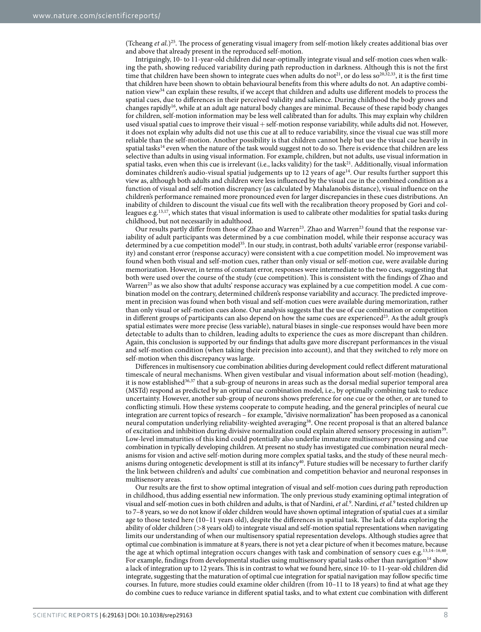(Tcheang *et al.*)[25](#page-9-3). The process of generating visual imagery from self-motion likely creates additional bias over and above that already present in the reproduced self-motion.

Intriguingly, 10- to 11-year-old children did near-optimally integrate visual and self-motion cues when walking the path, showing reduced variability during path reproduction in darkness. Although this is not the first time that children have been shown to integrate cues when adults do not<sup>21</sup>, or do less so<sup>[20,](#page-8-14)[32,](#page-9-10)33</sup>, it is the first time that children have been shown to obtain behavioural benefits from this where adults do not. An adaptive combination view<sup>34</sup> can explain these results, if we accept that children and adults use different models to process the spatial cues, due to differences in their perceived validity and salience. During childhood the body grows and changes rapidly[16](#page-8-15), while at an adult age natural body changes are minimal. Because of these rapid body changes for children, self-motion information may be less well calibrated than for adults. This may explain why children used visual spatial cues to improve their visual + self-motion response variability, while adults did not. However, it does not explain why adults did not use this cue at all to reduce variability, since the visual cue was still more reliable than the self-motion. Another possibility is that children cannot help but use the visual cue heavily in spatial tasks<sup>14</sup> even when the nature of the task would suggest not to do so. There is evidence that children are less selective than adults in using visual information. For example, children, but not adults, use visual information in spatial tasks, even when this cue is irrelevant (i.e., lacks validity) for the task<sup>21</sup>. Additionally, visual information dominates children's audio-visual spatial judgements up to 12 years of age<sup>[14](#page-8-9)</sup>. Our results further support this view as, although both adults and children were less influenced by the visual cue in the combined condition as a function of visual and self-motion discrepancy (as calculated by Mahalanobis distance), visual influence on the children's performance remained more pronounced even for larger discrepancies in these cues distributions. An inability of children to discount the visual cue fits well with the recalibration theory proposed by Gori and colleagues e.g[.13,](#page-8-8)[17,](#page-8-10) which states that visual information is used to calibrate other modalities for spatial tasks during childhood, but not necessarily in adulthood.

Our results partly differ from those of Zhao and Warren<sup>[23](#page-9-1)</sup>. Zhao and Warren<sup>23</sup> found that the response variability of adult participants was determined by a cue combination model, while their response accuracy was determined by a cue competition model<sup>35</sup>. In our study, in contrast, both adults' variable error (response variability) and constant error (response accuracy) were consistent with a cue competition model. No improvement was found when both visual and self-motion cues, rather than only visual or self-motion cue, were available during memorization. However, in terms of constant error, responses were intermediate to the two cues, suggesting that both were used over the course of the study (cue competition). This is consistent with the findings of Zhao and Warren<sup>[23](#page-9-1)</sup> as we also show that adults' response accuracy was explained by a cue competition model. A cue combination model on the contrary, determined children's response variability and accuracy. The predicted improvement in precision was found when both visual and self-motion cues were available during memorization, rather than only visual or self-motion cues alone. Our analysis suggests that the use of cue combination or competition in different groups of participants can also depend on how the same cues are experienced<sup>[23](#page-9-1)</sup>. As the adult group's spatial estimates were more precise (less variable), natural biases in single-cue responses would have been more detectable to adults than to children, leading adults to experience the cues as more discrepant than children. Again, this conclusion is supported by our findings that adults gave more discrepant performances in the visual and self-motion condition (when taking their precision into account), and that they switched to rely more on self-motion when this discrepancy was large.

Differences in multisensory cue combination abilities during development could reflect different maturational timescale of neural mechanisms. When given vestibular and visual information about self-motion (heading), it is now established<sup>[36,](#page-9-14)37</sup> that a sub-group of neurons in areas such as the dorsal medial superior temporal area (MSTd) respond as predicted by an optimal cue combination model, i.e., by optimally combining task to reduce uncertainty. However, another sub-group of neurons shows preference for one cue or the other, or are tuned to conflicting stimuli. How these systems cooperate to compute heading, and the general principles of neural cue integration are current topics of research – for example, "divisive normalization" has been proposed as a canonical neural computation underlying reliability-weighted averagin[g38](#page-9-16). One recent proposal is that an altered balance of excitation and inhibition during divisive normalization could explain altered sensory processing in autism[39.](#page-9-17) Low-level immaturities of this kind could potentially also underlie immature multisensory processing and cue combination in typically developing children. At present no study has investigated cue combination neural mechanisms for vision and active self-motion during more complex spatial tasks, and the study of these neural mechanisms during ontogenetic development is still at its infancy<sup>40</sup>. Future studies will be necessary to further clarify the link between children's and adults' cue combination and competition behavior and neuronal responses in multisensory areas.

Our results are the first to show optimal integration of visual and self-motion cues during path reproduction in childhood, thus adding essential new information. The only previous study examining optimal integration of visual and self-motion cues in both children and adults, is that of Nardini, *et al.*<sup>[9](#page-8-4)</sup>. Nardini, *et al.*<sup>9</sup> tested children up to 7–8 years, so we do not know if older children would have shown optimal integration of spatial cues at a similar age to those tested here (10–11 years old), despite the differences in spatial task. The lack of data exploring the ability of older children (>8 years old) to integrate visual and self-motion spatial representations when navigating limits our understanding of when our multisensory spatial representation develops. Although studies agree that optimal cue combination is immature at 8 years, there is not yet a clear picture of when it becomes mature, because the age at which optimal integration occurs changes with task and combination of sensory cues e.g.<sup>[13](#page-8-8),[14–16](#page-8-9),40</sup>. For example, findings from developmental studies using multisensory spatial tasks other than navigation $14$  show a lack of integration up to 12 years. This is in contrast to what we found here, since 10- to 11-year-old children did integrate, suggesting that the maturation of optimal cue integration for spatial navigation may follow specific time courses. In future, more studies could examine older children (from 10–11 to 18 years) to find at what age they do combine cues to reduce variance in different spatial tasks, and to what extent cue combination with different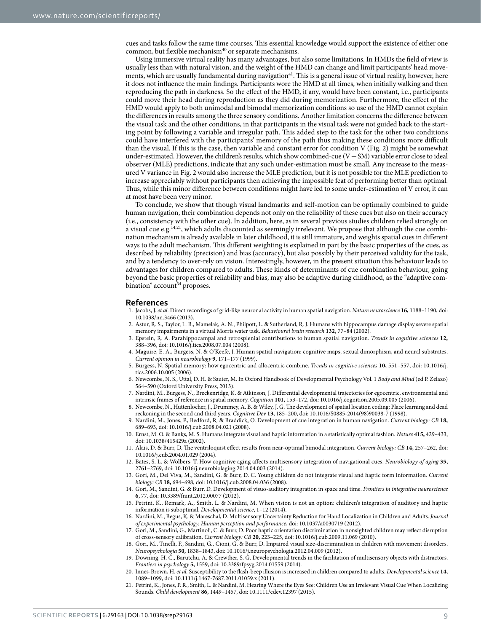cues and tasks follow the same time courses. This essential knowledge would support the existence of either one common, but flexible mechanism<sup>40</sup> or separate mechanisms.

Using immersive virtual reality has many advantages, but also some limitations. In HMDs the field of view is usually less than with natural vision, and the weight of the HMD can change and limit participants' head movements, which are usually fundamental during navigation<sup>41</sup>. This is a general issue of virtual reality, however, here it does not influence the main findings. Participants wore the HMD at all times, when initially walking and then reproducing the path in darkness. So the effect of the HMD, if any, would have been constant, i.e., participants could move their head during reproduction as they did during memorization. Furthermore, the effect of the HMD would apply to both unimodal and bimodal memorization conditions so use of the HMD cannot explain the differences in results among the three sensory conditions. Another limitation concerns the difference between the visual task and the other conditions, in that participants in the visual task were not guided back to the starting point by following a variable and irregular path. This added step to the task for the other two conditions could have interfered with the participants' memory of the path thus making these conditions more difficult than the visual. If this is the case, then variable and constant error for condition V ([Fig. 2\)](#page-4-0) might be somewhat under-estimated. However, the children's results, which show combined-cue (V+ SM) variable error close to ideal observer (MLE) predictions, indicate that any such under-estimation must be small. Any increase to the measured V variance in [Fig. 2](#page-4-0) would also increase the MLE prediction, but it is not possible for the MLE prediction to increase appreciably without participants then achieving the impossible feat of performing better than optimal. Thus, while this minor difference between conditions might have led to some under-estimation of V error, it can at most have been very minor.

To conclude, we show that though visual landmarks and self-motion can be optimally combined to guide human navigation, their combination depends not only on the reliability of these cues but also on their accuracy (i.e., consistency with the other cue). In addition, here, as in several previous studies children relied strongly on a visual cue e.g.<sup>[14](#page-8-9),[21](#page-8-13)</sup>, which adults discounted as seemingly irrelevant. We propose that although the cue combination mechanism is already available in later childhood, it is still immature, and weights spatial cues in different ways to the adult mechanism. This different weighting is explained in part by the basic properties of the cues, as described by reliability (precision) and bias (accuracy), but also possibly by their perceived validity for the task, and by a tendency to over-rely on vision. Interestingly, however, in the present situation this behaviour leads to advantages for children compared to adults. These kinds of determinants of cue combination behaviour, going beyond the basic properties of reliability and bias, may also be adaptive during childhood, as the "adaptive com-bination" account<sup>[34](#page-9-12)</sup> proposes.

#### **References**

- <span id="page-8-0"></span>1. Jacobs, J. *et al.* Direct recordings of grid-like neuronal activity in human spatial navigation. *Nature neuroscience* **16,** 1188–1190, doi: 10.1038/nn.3466 (2013).
- 2. Astur, R. S., Taylor, L. B., Mamelak, A. N., Philpott, L. & Sutherland, R. J. Humans with hippocampus damage display severe spatial memory impairments in a virtual Morris water task. *Behavioural brain research* **132,** 77–84 (2002).
- 3. Epstein, R. A. Parahippocampal and retrosplenial contributions to human spatial navigation. *Trends in cognitive sciences* **12,** 388–396, doi: 10.1016/j.tics.2008.07.004 (2008).
- 4. Maguire, E. A., Burgess, N. & O'Keefe, J. Human spatial navigation: cognitive maps, sexual dimorphism, and neural substrates. *Current opinion in neurobiology* **9,** 171–177 (1999).
- 5. Burgess, N. Spatial memory: how egocentric and allocentric combine. *Trends in cognitive sciences* **10,** 551–557, doi: 10.1016/j. tics.2006.10.005 (2006).
- <span id="page-8-1"></span>6. Newcombe, N. S., Uttal, D. H. & Sauter, M. In Oxford Handbook of Developmental Psychology Vol. 1 *Body and Mind* (ed P. Zelazo) 564–590 (Oxford University Press, 2013).
- <span id="page-8-2"></span>7. Nardini, M., Burgess, N., Breckenridge, K. & Atkinson, J. Differential developmental trajectories for egocentric, environmental and intrinsic frames of reference in spatial memory. *Cognition* **101,** 153–172, doi: 10.1016/j.cognition.2005.09.005 (2006).
- <span id="page-8-3"></span>8. Newcombe, N., Huttenlocher, J., Drummey, A. B. & Wiley, J. G. The development of spatial location coding: Place learning and dead reckoning in the second and third years. *Cognitive Dev* **13,** 185–200, doi: 10.1016/S0885-2014(98)90038-7 (1998).
- <span id="page-8-4"></span>9. Nardini, M., Jones, P., Bedford, R. & Braddick, O. Development of cue integration in human navigation. *Current biology: CB* **18,** 689–693, doi: 10.1016/j.cub.2008.04.021 (2008).
- <span id="page-8-5"></span>10. Ernst, M. O. & Banks, M. S. Humans integrate visual and haptic information in a statistically optimal fashion. *Nature* **415,** 429–433, doi: 10.1038/415429a (2002).
- <span id="page-8-6"></span>11. Alais, D. & Burr, D. The ventriloquist effect results from near-optimal bimodal integration. *Current biology: CB* **14,** 257–262, doi: 10.1016/j.cub.2004.01.029 (2004).
- <span id="page-8-7"></span>12. Bates, S. L. & Wolbers, T. How cognitive aging affects multisensory integration of navigational cues. *Neurobiology of aging* **35,** 2761–2769, doi: 10.1016/j.neurobiolaging.2014.04.003 (2014).
- <span id="page-8-8"></span>13. Gori, M., Del Viva, M., Sandini, G. & Burr, D. C. Young children do not integrate visual and haptic form information. *Current biology: CB* **18,** 694–698, doi: 10.1016/j.cub.2008.04.036 (2008).
- <span id="page-8-9"></span>14. Gori, M., Sandini, G. & Burr, D. Development of visuo-auditory integration in space and time. *Frontiers in integrative neuroscience* **6,** 77, doi: 10.3389/fnint.2012.00077 (2012).
- 15. Petrini, K., Remark, A., Smith, L. & Nardini, M. When vision is not an option: children's integration of auditory and haptic information is suboptimal. *Developmental science*, 1–12 (2014).
- <span id="page-8-15"></span>16. Nardini, M., Begus, K. & Mareschal, D. Multisensory Uncertainty Reduction for Hand Localization in Children and Adults. *Journal of experimental psychology. Human perception and performance*, doi: 10.1037/a0030719 (2012).
- <span id="page-8-10"></span>17. Gori, M., Sandini, G., Martinoli, C. & Burr, D. Poor haptic orientation discrimination in nonsighted children may reflect disruption of cross-sensory calibration. *Current biology: CB* **20,** 223–225, doi: 10.1016/j.cub.2009.11.069 (2010).
- <span id="page-8-11"></span>18. Gori, M., Tinelli, F., Sandini, G., Cioni, G. & Burr, D. Impaired visual size-discrimination in children with movement disorders. *Neuropsychologia* **50,** 1838–1843, doi: 10.1016/j.neuropsychologia.2012.04.009 (2012).
- <span id="page-8-12"></span>19. Downing, H. C., Barutchu, A. & Crewther, S. G. Developmental trends in the facilitation of multisensory objects with distractors. *Frontiers in psychology* **5,** 1559, doi: 10.3389/fpsyg.2014.01559 (2014).
- <span id="page-8-14"></span>20. Innes-Brown, H. *et al.* Susceptibility to the flash-beep illusion is increased in children compared to adults. *Developmental science* **14,** 1089–1099, doi: 10.1111/j.1467-7687.2011.01059.x (2011).
- <span id="page-8-13"></span>21. Petrini, K., Jones, P. R., Smith, L. & Nardini, M. Hearing Where the Eyes See: Children Use an Irrelevant Visual Cue When Localizing Sounds. *Child development* **86,** 1449–1457, doi: 10.1111/cdev.12397 (2015).